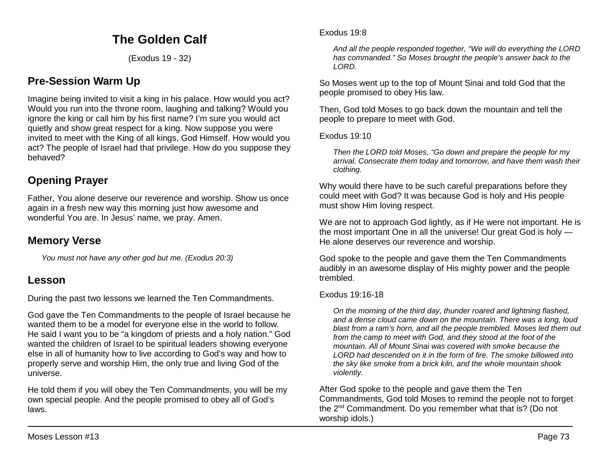# **The Golden Calf**

(Exodus 19 - 32)

# **Pre-Session Warm Up**

Imagine being invited to visit a king in his palace. How would you act? Would you run into the throne room, laughing and talking? Would you ignore the king or call him by his first name? I'm sure you would act quietly and show great respect for a king. Now suppose you were invited to meet with the King of all kings, God Himself. How would you act? The people of Israel had that privilege. How do you suppose they behaved?

# **Opening Prayer**

Father, You alone deserve our reverence and worship. Show us once again in a fresh new way this morning just how awesome and wonderful You are. In Jesus' name, we pray. Amen.

# **Memory Verse**

*You must not have any other god but me. (Exodus 20:3)*

# **Lesson**

During the past two lessons we learned the Ten Commandments.

God gave the Ten Commandments to the people of Israel because he wanted them to be a model for everyone else in the world to follow. He said I want you to be "a kingdom of priests and a holy nation." God wanted the children of Israel to be spiritual leaders showing everyone else in all of humanity how to live according to God's way and how to properly serve and worship Him, the only true and living God of the universe.

He told them if you will obey the Ten Commandments, you will be my own special people. And the people promised to obey all of God's laws.

### Exodus 19:8

*And all the people responded together, "We will do everything the LORD has commanded." So Moses brought the people's answer back to the LORD.*

So Moses went up to the top of Mount Sinai and told God that the people promised to obey His law.

Then, God told Moses to go back down the mountain and tell the people to prepare to meet with God.

Exodus 19:10

*Then the LORD told Moses, "Go down and prepare the people for my arrival. Consecrate them today and tomorrow, and have them wash their clothing.*

Why would there have to be such careful preparations before they could meet with God? It was because God is holy and His people must show Him loving respect.

We are not to approach God lightly, as if He were not important. He is the most important One in all the universe! Our great God is holy — He alone deserves our reverence and worship.

God spoke to the people and gave them the Ten Commandments audibly in an awesome display of His mighty power and the people trembled.

# Exodus 19:16-18

*On the morning of the third day, thunder roared and lightning flashed, and a dense cloud came down on the mountain. There was a long, loud blast from a ram's horn, and all the people trembled. Moses led them out from the camp to meet with God, and they stood at the foot of the mountain. All of Mount Sinai was covered with smoke because the LORD had descended on it in the form of fire. The smoke billowed into the sky like smoke from a brick kiln, and the whole mountain shook violently.* 

After God spoke to the people and gave them the Ten Commandments, God told Moses to remind the people not to forget the 2nd Commandment. Do you remember what that is? (Do not worship idols.)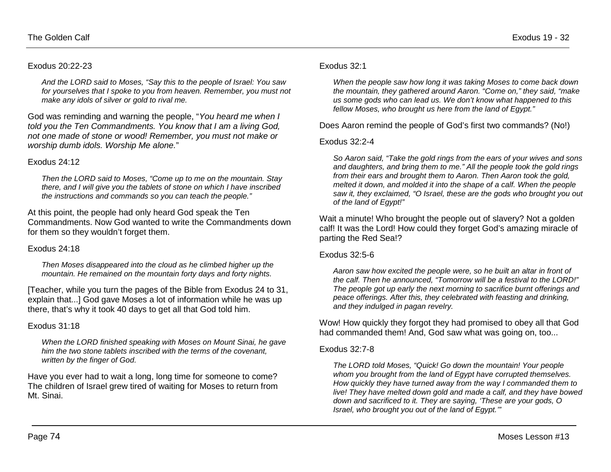### Exodus 20:22-23

*And the LORD said to Moses, "Say this to the people of Israel: You saw for yourselves that I spoke to you from heaven. Remember, you must not make any idols of silver or gold to rival me.*

God was reminding and warning the people, "*You heard me when I told you the Ten Commandments. You know that I am a living God, not one made of stone or wood! Remember, you must not make or worship dumb idols. Worship Me alone.*"

### Exodus 24:12

*Then the LORD said to Moses, "Come up to me on the mountain. Stay there, and I will give you the tablets of stone on which I have inscribed the instructions and commands so you can teach the people."*

At this point, the people had only heard God speak the Ten Commandments. Now God wanted to write the Commandments down for them so they wouldn't forget them.

### Exodus 24:18

*Then Moses disappeared into the cloud as he climbed higher up the mountain. He remained on the mountain forty days and forty nights.*

[Teacher, while you turn the pages of the Bible from Exodus 24 to 31, explain that...] God gave Moses a lot of information while he was up there, that's why it took 40 days to get all that God told him.

# Exodus 31:18

*When the LORD finished speaking with Moses on Mount Sinai, he gave him the two stone tablets inscribed with the terms of the covenant, written by the finger of God.*

Have you ever had to wait a long, long time for someone to come? The children of Israel grew tired of waiting for Moses to return from Mt. Sinai.

### Exodus 32:1

*When the people saw how long it was taking Moses to come back down the mountain, they gathered around Aaron. "Come on," they said, "make us some gods who can lead us. We don't know what happened to this fellow Moses, who brought us here from the land of Egypt."*

Does Aaron remind the people of God's first two commands? (No!)

### Exodus 32:2-4

*So Aaron said, "Take the gold rings from the ears of your wives and sons and daughters, and bring them to me." All the people took the gold rings from their ears and brought them to Aaron. Then Aaron took the gold, melted it down, and molded it into the shape of a calf. When the people saw it, they exclaimed, "O Israel, these are the gods who brought you out of the land of Egypt!"* 

Wait a minute! Who brought the people out of slavery? Not a golden calf! It was the Lord! How could they forget God's amazing miracle of parting the Red Sea!?

### Exodus 32:5-6

*Aaron saw how excited the people were, so he built an altar in front of the calf. Then he announced, "Tomorrow will be a festival to the LORD!" The people got up early the next morning to sacrifice burnt offerings and peace offerings. After this, they celebrated with feasting and drinking, and they indulged in pagan revelry.* 

Wow! How quickly they forgot they had promised to obey all that God had commanded them! And, God saw what was going on, too...

### Exodus 32:7-8

*The LORD told Moses, "Quick! Go down the mountain! Your people whom you brought from the land of Egypt have corrupted themselves. How quickly they have turned away from the way I commanded them to live! They have melted down gold and made a calf, and they have bowed down and sacrificed to it. They are saying, 'These are your gods, O Israel, who brought you out of the land of Egypt.'"*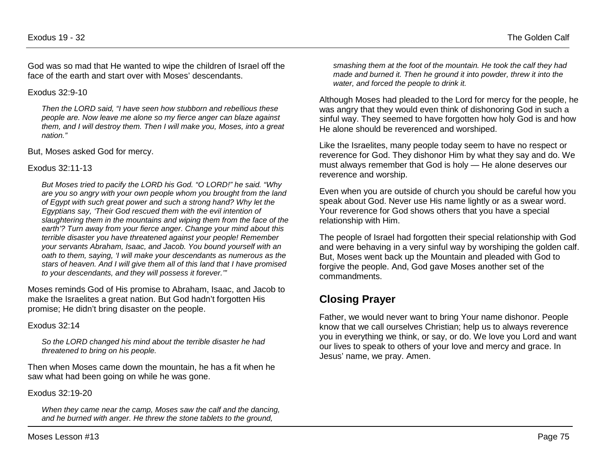God was so mad that He wanted to wipe the children of Israel off the face of the earth and start over with Moses' descendants.

Exodus 32:9-10

*Then the LORD said, "I have seen how stubborn and rebellious these people are. Now leave me alone so my fierce anger can blaze against them, and I will destroy them. Then I will make you, Moses, into a great nation."* 

But, Moses asked God for mercy.

### Exodus 32:11-13

*But Moses tried to pacify the LORD his God. "O LORD!" he said. "Why are you so angry with your own people whom you brought from the land of Egypt with such great power and such a strong hand? Why let the Egyptians say, 'Their God rescued them with the evil intention of slaughtering them in the mountains and wiping them from the face of the earth'? Turn away from your fierce anger. Change your mind about this terrible disaster you have threatened against your people! Remember your servants Abraham, Isaac, and Jacob. You bound yourself with an oath to them, saying, 'I will make your descendants as numerous as the stars of heaven. And I will give them all of this land that I have promised to your descendants, and they will possess it forever.'"* 

Moses reminds God of His promise to Abraham, Isaac, and Jacob to make the Israelites a great nation. But God hadn't forgotten His promise; He didn't bring disaster on the people.

Exodus 32:14

*So the LORD changed his mind about the terrible disaster he had threatened to bring on his people.*

Then when Moses came down the mountain, he has a fit when he saw what had been going on while he was gone.

Exodus 32:19-20

*When they came near the camp, Moses saw the calf and the dancing, and he burned with anger. He threw the stone tablets to the ground,* 

*smashing them at the foot of the mountain. He took the calf they had made and burned it. Then he ground it into powder, threw it into the water, and forced the people to drink it.* 

Although Moses had pleaded to the Lord for mercy for the people, he was angry that they would even think of dishonoring God in such a sinful way. They seemed to have forgotten how holy God is and how He alone should be reverenced and worshiped.

Like the Israelites, many people today seem to have no respect or reverence for God. They dishonor Him by what they say and do. We must always remember that God is holy — He alone deserves our reverence and worship.

Even when you are outside of church you should be careful how you speak about God. Never use His name lightly or as a swear word. Your reverence for God shows others that you have a special relationship with Him.

The people of Israel had forgotten their special relationship with God and were behaving in a very sinful way by worshiping the golden calf. But, Moses went back up the Mountain and pleaded with God to forgive the people. And, God gave Moses another set of the commandments.

# **Closing Prayer**

Father, we would never want to bring Your name dishonor. People know that we call ourselves Christian; help us to always reverence you in everything we think, or say, or do. We love you Lord and want our lives to speak to others of your love and mercy and grace. In Jesus' name, we pray. Amen.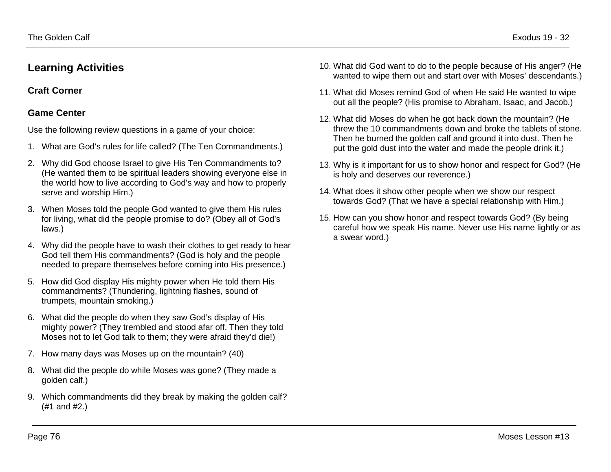# **Learning Activities**

**Craft Corner**

# **Game Center**

Use the following review questions in a game of your choice:

- 1. What are God's rules for life called? (The Ten Commandments.)
- 2. Why did God choose Israel to give His Ten Commandments to? (He wanted them to be spiritual leaders showing everyone else in the world how to live according to God's way and how to properly serve and worship Him.)
- 3. When Moses told the people God wanted to give them His rules for living, what did the people promise to do? (Obey all of God's laws.)
- 4. Why did the people have to wash their clothes to get ready to hear God tell them His commandments? (God is holy and the people needed to prepare themselves before coming into His presence.)
- 5. How did God display His mighty power when He told them His commandments? (Thundering, lightning flashes, sound of trumpets, mountain smoking.)
- 6. What did the people do when they saw God's display of His mighty power? (They trembled and stood afar off. Then they told Moses not to let God talk to them; they were afraid they'd die!)
- 7. How many days was Moses up on the mountain? (40)
- 8. What did the people do while Moses was gone? (They made a golden calf.)
- 9. Which commandments did they break by making the golden calf? (#1 and #2.)
- 10. What did God want to do to the people because of His anger? (He wanted to wipe them out and start over with Moses' descendants.)
- 11. What did Moses remind God of when He said He wanted to wipe out all the people? (His promise to Abraham, Isaac, and Jacob.)
- 12. What did Moses do when he got back down the mountain? (He threw the 10 commandments down and broke the tablets of stone. Then he burned the golden calf and ground it into dust. Then he put the gold dust into the water and made the people drink it.)
- 13. Why is it important for us to show honor and respect for God? (He is holy and deserves our reverence.)
- 14. What does it show other people when we show our respect towards God? (That we have a special relationship with Him.)
- 15. How can you show honor and respect towards God? (By being careful how we speak His name. Never use His name lightly or as a swear word.)